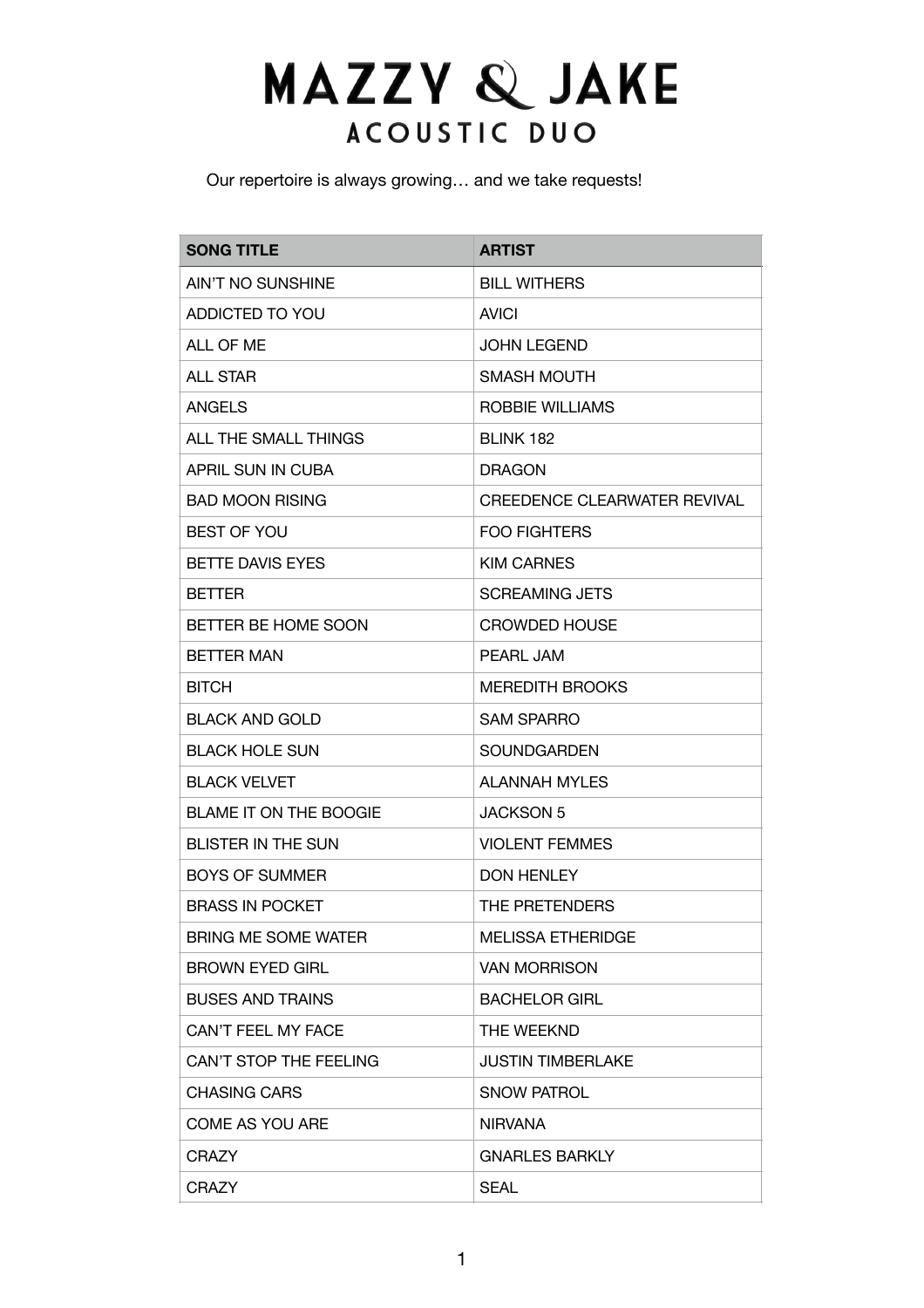## **MAZZY & JAKE** ACOUSTIC DUO

Our repertoire is always growing… and we take requests!

| <b>SONG TITLE</b>             | <b>ARTIST</b>                       |
|-------------------------------|-------------------------------------|
| AIN'T NO SUNSHINE             | <b>BILL WITHERS</b>                 |
| ADDICTED TO YOU               | <b>AVICI</b>                        |
| ALL OF ME                     | <b>JOHN LEGEND</b>                  |
| <b>ALL STAR</b>               | SMASH MOUTH                         |
| <b>ANGELS</b>                 | ROBBIE WILLIAMS                     |
| ALL THE SMALL THINGS          | <b>BLINK 182</b>                    |
| APRIL SUN IN CUBA             | <b>DRAGON</b>                       |
| <b>BAD MOON RISING</b>        | <b>CREEDENCE CLEARWATER REVIVAL</b> |
| <b>BEST OF YOU</b>            | <b>FOO FIGHTERS</b>                 |
| <b>BETTE DAVIS EYES</b>       | <b>KIM CARNES</b>                   |
| <b>BETTER</b>                 | <b>SCREAMING JETS</b>               |
| BETTER BE HOME SOON           | <b>CROWDED HOUSE</b>                |
| <b>BETTER MAN</b>             | PEARL JAM                           |
| <b>BITCH</b>                  | <b>MEREDITH BROOKS</b>              |
| <b>BLACK AND GOLD</b>         | <b>SAM SPARRO</b>                   |
| <b>BLACK HOLE SUN</b>         | <b>SOUNDGARDEN</b>                  |
| <b>BLACK VELVET</b>           | <b>ALANNAH MYLES</b>                |
| <b>BLAME IT ON THE BOOGIE</b> | <b>JACKSON 5</b>                    |
| <b>BLISTER IN THE SUN</b>     | <b>VIOLENT FEMMES</b>               |
| <b>BOYS OF SUMMER</b>         | <b>DON HENLEY</b>                   |
| <b>BRASS IN POCKET</b>        | THE PRETENDERS                      |
| BRING ME SOME WATER           | MELISSA ETHERIDGE                   |
| <b>BROWN EYED GIRL</b>        | <b>VAN MORRISON</b>                 |
| <b>BUSES AND TRAINS</b>       | <b>BACHELOR GIRL</b>                |
| CAN'T FEEL MY FACE            | THE WEEKND                          |
| CAN'T STOP THE FEELING        | <b>JUSTIN TIMBERLAKE</b>            |
| <b>CHASING CARS</b>           | <b>SNOW PATROL</b>                  |
| <b>COME AS YOU ARE</b>        | <b>NIRVANA</b>                      |
| <b>CRAZY</b>                  | <b>GNARLES BARKLY</b>               |
| <b>CRAZY</b>                  | <b>SEAL</b>                         |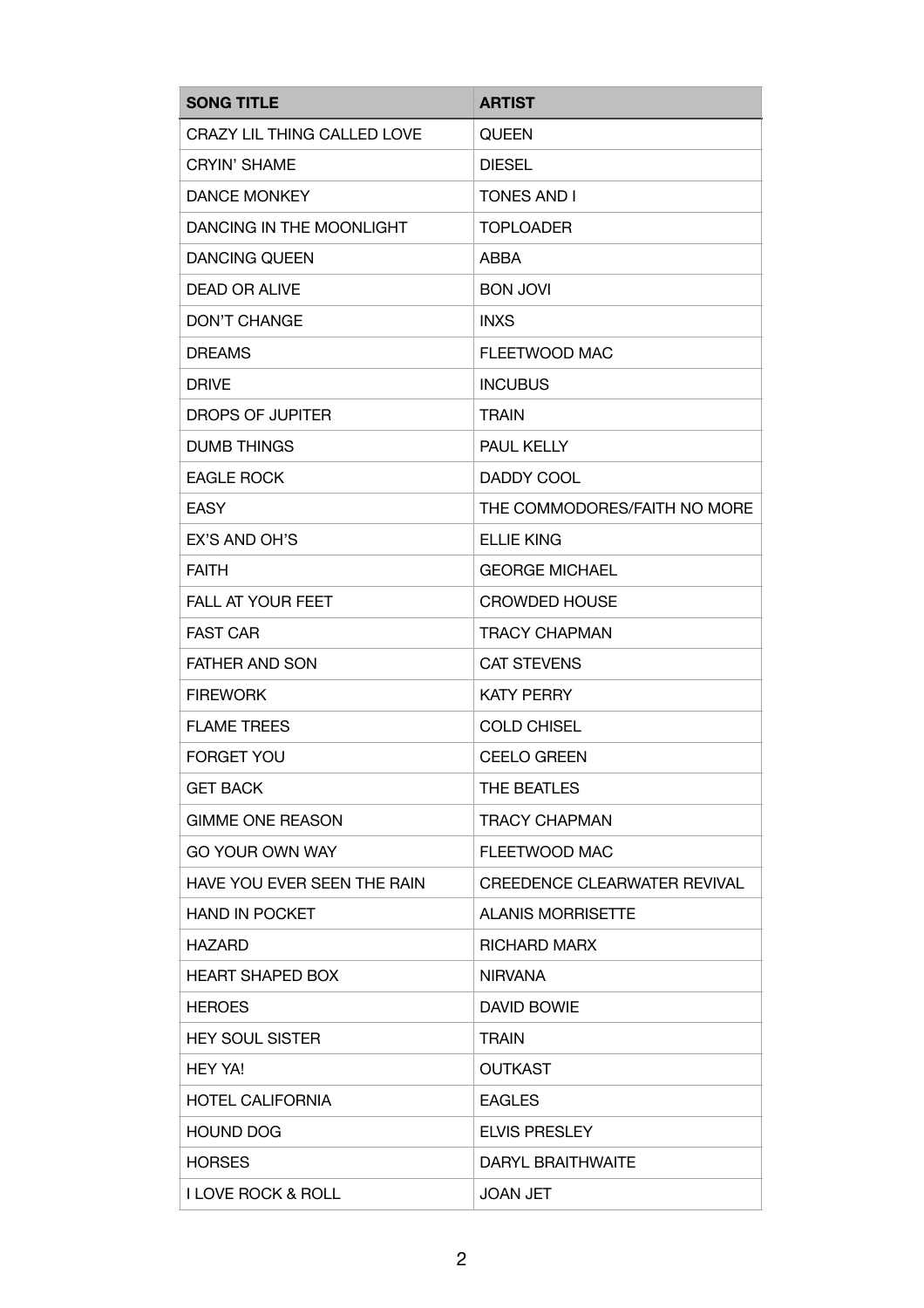| <b>SONG TITLE</b>             | <b>ARTIST</b>                       |
|-------------------------------|-------------------------------------|
| CRAZY LIL THING CALLED LOVE   | <b>QUEEN</b>                        |
| <b>CRYIN' SHAME</b>           | <b>DIESEL</b>                       |
| <b>DANCE MONKEY</b>           | <b>TONES AND I</b>                  |
| DANCING IN THE MOONLIGHT      | <b>TOPLOADER</b>                    |
| <b>DANCING QUEEN</b>          | ABBA                                |
| <b>DEAD OR ALIVE</b>          | <b>BON JOVI</b>                     |
| <b>DON'T CHANGE</b>           | <b>INXS</b>                         |
| <b>DREAMS</b>                 | FLEETWOOD MAC                       |
| <b>DRIVE</b>                  | <b>INCUBUS</b>                      |
| DROPS OF JUPITER              | <b>TRAIN</b>                        |
| <b>DUMB THINGS</b>            | PAUL KELLY                          |
| <b>EAGLE ROCK</b>             | DADDY COOL                          |
| <b>EASY</b>                   | THE COMMODORES/FAITH NO MORE        |
| EX'S AND OH'S                 | <b>ELLIE KING</b>                   |
| <b>FAITH</b>                  | <b>GEORGE MICHAEL</b>               |
| <b>FALL AT YOUR FEET</b>      | <b>CROWDED HOUSE</b>                |
| <b>FAST CAR</b>               | <b>TRACY CHAPMAN</b>                |
| <b>FATHER AND SON</b>         | <b>CAT STEVENS</b>                  |
| <b>FIREWORK</b>               | <b>KATY PERRY</b>                   |
| <b>FLAME TREES</b>            | <b>COLD CHISEL</b>                  |
| <b>FORGET YOU</b>             | <b>CEELO GREEN</b>                  |
| <b>GET BACK</b>               | THE BEATLES                         |
| <b>GIMME ONE REASON</b>       | <b>TRACY CHAPMAN</b>                |
| GO YOUR OWN WAY               | FLEETWOOD MAC                       |
| HAVE YOU EVER SEEN THE RAIN   | <b>CREEDENCE CLEARWATER REVIVAL</b> |
| <b>HAND IN POCKET</b>         | <b>ALANIS MORRISETTE</b>            |
| <b>HAZARD</b>                 | <b>RICHARD MARX</b>                 |
| <b>HEART SHAPED BOX</b>       | NIRVANA                             |
| <b>HEROES</b>                 | DAVID BOWIE                         |
| <b>HEY SOUL SISTER</b>        | <b>TRAIN</b>                        |
| <b>HEY YA!</b>                | <b>OUTKAST</b>                      |
| <b>HOTEL CALIFORNIA</b>       | <b>EAGLES</b>                       |
| <b>HOUND DOG</b>              | <b>ELVIS PRESLEY</b>                |
| <b>HORSES</b>                 | DARYL BRAITHWAITE                   |
| <b>I LOVE ROCK &amp; ROLL</b> | <b>JOAN JET</b>                     |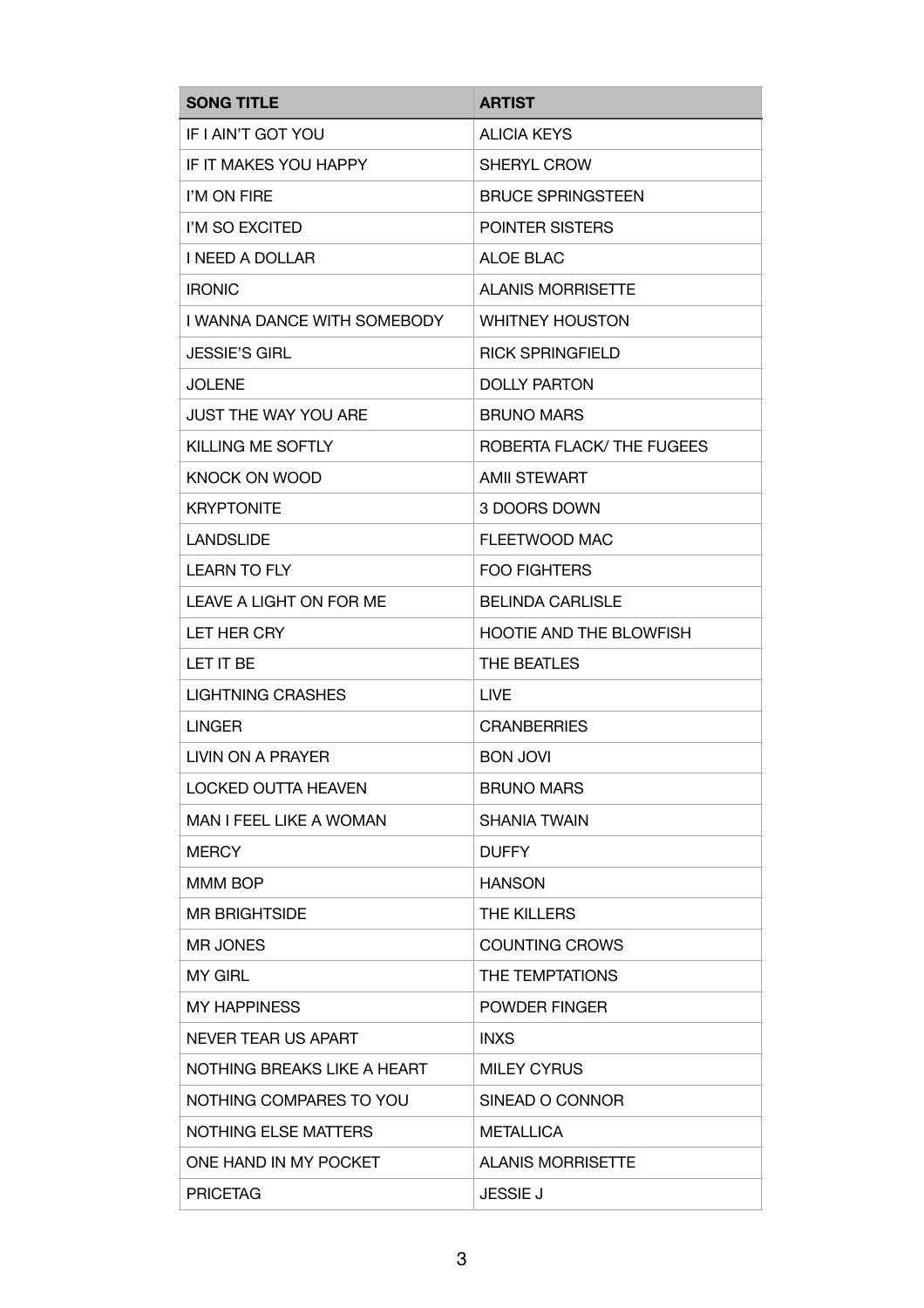| <b>SONG TITLE</b>           | <b>ARTIST</b>             |
|-----------------------------|---------------------------|
| IF I AIN'T GOT YOU          | <b>ALICIA KEYS</b>        |
| IF IT MAKES YOU HAPPY       | <b>SHERYL CROW</b>        |
| I'M ON FIRE                 | <b>BRUCE SPRINGSTEEN</b>  |
| I'M SO EXCITED              | POINTER SISTERS           |
| <b>I NEED A DOLLAR</b>      | ALOE BLAC                 |
| <b>IRONIC</b>               | <b>ALANIS MORRISETTE</b>  |
| I WANNA DANCE WITH SOMEBODY | <b>WHITNEY HOUSTON</b>    |
| <b>JESSIE'S GIRL</b>        | <b>RICK SPRINGFIELD</b>   |
| <b>JOLENE</b>               | <b>DOLLY PARTON</b>       |
| JUST THE WAY YOU ARE        | <b>BRUNO MARS</b>         |
| KILLING ME SOFTLY           | ROBERTA FLACK/ THE FUGEES |
| <b>KNOCK ON WOOD</b>        | <b>AMII STEWART</b>       |
| <b>KRYPTONITE</b>           | 3 DOORS DOWN              |
| <b>LANDSLIDE</b>            | FLEETWOOD MAC             |
| <b>LEARN TO FLY</b>         | <b>FOO FIGHTERS</b>       |
| LEAVE A LIGHT ON FOR ME     | <b>BELINDA CARLISLE</b>   |
| LET HER CRY                 | HOOTIE AND THE BLOWFISH   |
| LET IT BE                   | THE BEATLES               |
| <b>LIGHTNING CRASHES</b>    | <b>LIVE</b>               |
| <b>LINGER</b>               | <b>CRANBERRIES</b>        |
| LIVIN ON A PRAYER           | <b>BON JOVI</b>           |
| <b>LOCKED OUTTA HEAVEN</b>  | <b>BRUNO MARS</b>         |
| MAN I FEEL LIKE A WOMAN     | <b>SHANIA TWAIN</b>       |
| <b>MERCY</b>                | <b>DUFFY</b>              |
| MMM BOP                     | <b>HANSON</b>             |
| <b>MR BRIGHTSIDE</b>        | THE KILLERS               |
| <b>MR JONES</b>             | <b>COUNTING CROWS</b>     |
| <b>MY GIRL</b>              | THE TEMPTATIONS           |
| <b>MY HAPPINESS</b>         | POWDER FINGER             |
| NEVER TEAR US APART         | <b>INXS</b>               |
| NOTHING BREAKS LIKE A HEART | <b>MILEY CYRUS</b>        |
| NOTHING COMPARES TO YOU     | SINEAD O CONNOR           |
| <b>NOTHING ELSE MATTERS</b> | <b>METALLICA</b>          |
| ONE HAND IN MY POCKET       | <b>ALANIS MORRISETTE</b>  |
| <b>PRICETAG</b>             | <b>JESSIE J</b>           |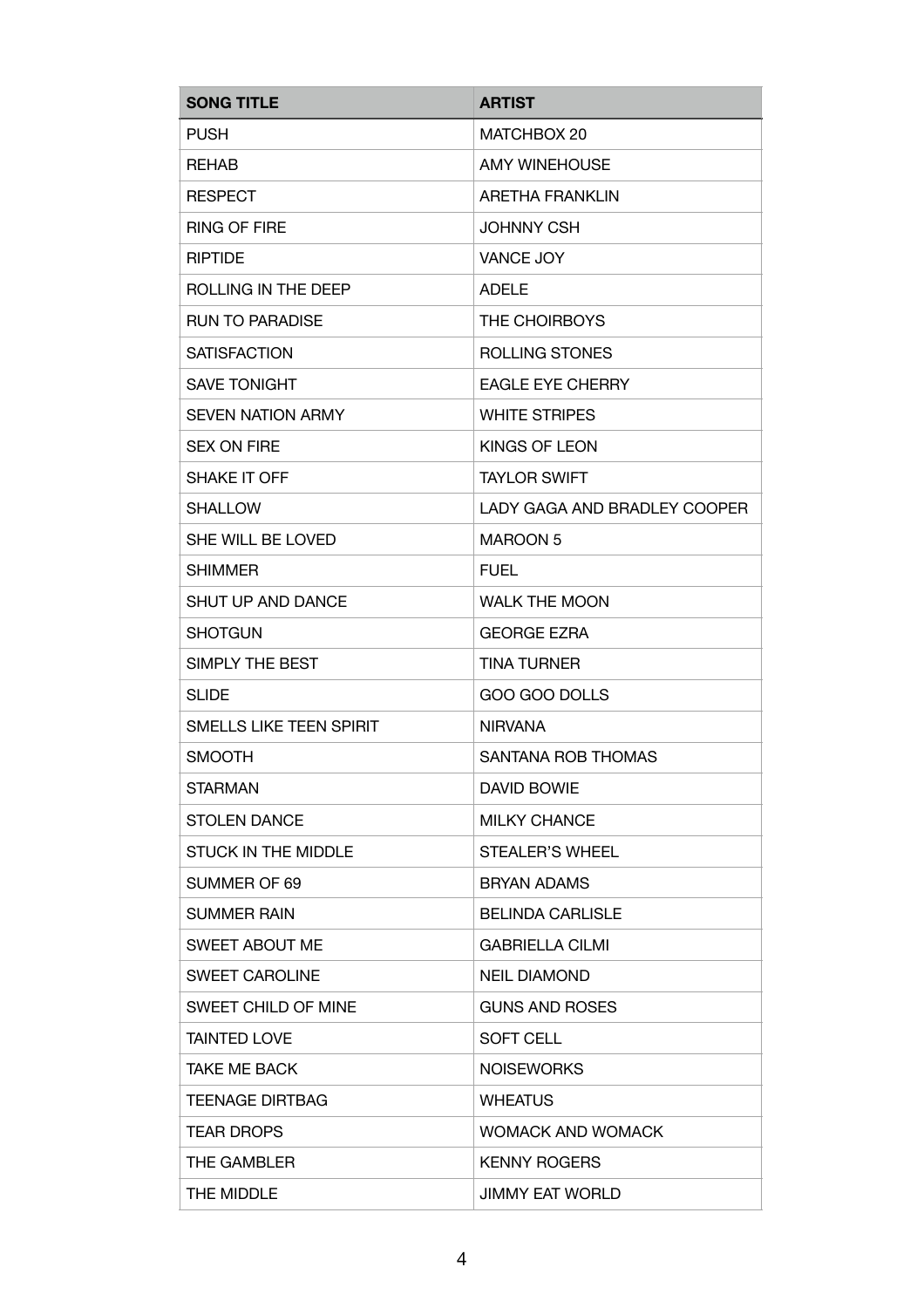| <b>SONG TITLE</b>              | <b>ARTIST</b>                |
|--------------------------------|------------------------------|
| <b>PUSH</b>                    | MATCHBOX 20                  |
| <b>REHAB</b>                   | <b>AMY WINEHOUSE</b>         |
| <b>RESPECT</b>                 | <b>ARETHA FRANKLIN</b>       |
| <b>RING OF FIRE</b>            | <b>JOHNNY CSH</b>            |
| <b>RIPTIDE</b>                 | <b>VANCE JOY</b>             |
| ROLLING IN THE DEEP            | <b>ADELE</b>                 |
| <b>RUN TO PARADISE</b>         | THE CHOIRBOYS                |
| <b>SATISFACTION</b>            | ROLLING STONES               |
| <b>SAVE TONIGHT</b>            | <b>EAGLE EYE CHERRY</b>      |
| <b>SEVEN NATION ARMY</b>       | <b>WHITE STRIPES</b>         |
| <b>SEX ON FIRE</b>             | KINGS OF LEON                |
| SHAKE IT OFF                   | <b>TAYLOR SWIFT</b>          |
| <b>SHALLOW</b>                 | LADY GAGA AND BRADLEY COOPER |
| SHE WILL BE LOVED              | <b>MAROON 5</b>              |
| <b>SHIMMER</b>                 | <b>FUEL</b>                  |
| <b>SHUT UP AND DANCE</b>       | <b>WALK THE MOON</b>         |
| <b>SHOTGUN</b>                 | <b>GEORGE EZRA</b>           |
| SIMPLY THE BEST                | <b>TINA TURNER</b>           |
| <b>SLIDE</b>                   | GOO GOO DOLLS                |
| <b>SMELLS LIKE TEEN SPIRIT</b> | <b>NIRVANA</b>               |
| <b>SMOOTH</b>                  | SANTANA ROB THOMAS           |
| <b>STARMAN</b>                 | <b>DAVID BOWIE</b>           |
| <b>STOLEN DANCE</b>            | <b>MILKY CHANCE</b>          |
| STUCK IN THE MIDDLE            | STEALER'S WHEEL              |
| SUMMER OF 69                   | <b>BRYAN ADAMS</b>           |
| <b>SUMMER RAIN</b>             | <b>BELINDA CARLISLE</b>      |
| <b>SWEET ABOUT ME</b>          | <b>GABRIELLA CILMI</b>       |
| <b>SWEET CAROLINE</b>          | <b>NEIL DIAMOND</b>          |
| SWEET CHILD OF MINE            | <b>GUNS AND ROSES</b>        |
| <b>TAINTED LOVE</b>            | <b>SOFT CELL</b>             |
| <b>TAKE ME BACK</b>            | <b>NOISEWORKS</b>            |
| <b>TEENAGE DIRTBAG</b>         | <b>WHEATUS</b>               |
| <b>TEAR DROPS</b>              | <b>WOMACK AND WOMACK</b>     |
| THE GAMBLER                    | <b>KENNY ROGERS</b>          |
| THE MIDDLE                     | <b>JIMMY EAT WORLD</b>       |